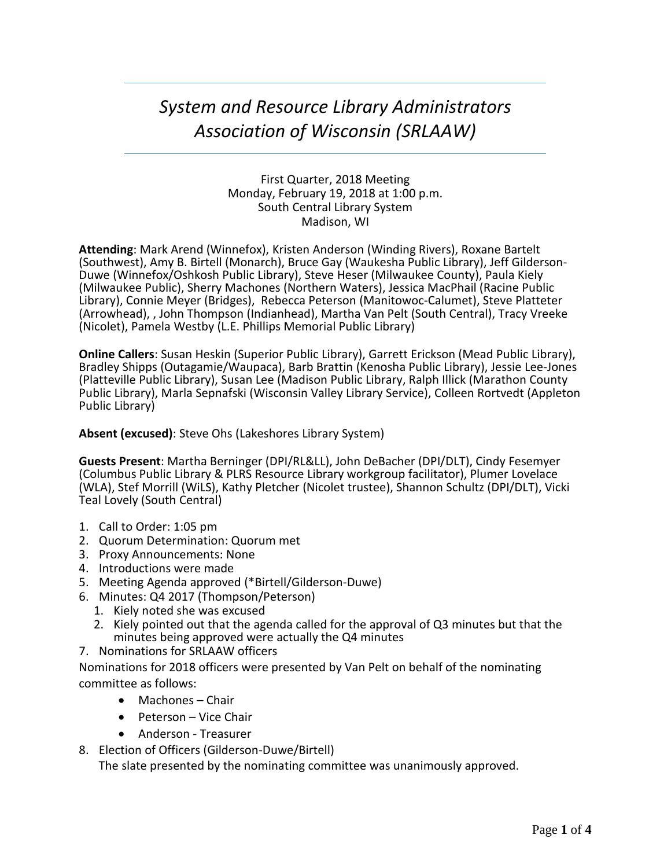# *System and Resource Library Administrators Association of Wisconsin (SRLAAW)*

First Quarter, 2018 Meeting Monday, February 19, 2018 at 1:00 p.m. South Central Library System Madison, WI

**Attending**: Mark Arend (Winnefox), Kristen Anderson (Winding Rivers), Roxane Bartelt (Southwest), Amy B. Birtell (Monarch), Bruce Gay (Waukesha Public Library), Jeff Gilderson-Duwe (Winnefox/Oshkosh Public Library), Steve Heser (Milwaukee County), Paula Kiely (Milwaukee Public), Sherry Machones (Northern Waters), Jessica MacPhail (Racine Public Library), Connie Meyer (Bridges), Rebecca Peterson (Manitowoc-Calumet), Steve Platteter (Arrowhead), , John Thompson (Indianhead), Martha Van Pelt (South Central), Tracy Vreeke (Nicolet), Pamela Westby (L.E. Phillips Memorial Public Library)

**Online Callers**: Susan Heskin (Superior Public Library), Garrett Erickson (Mead Public Library), Bradley Shipps (Outagamie/Waupaca), Barb Brattin (Kenosha Public Library), Jessie Lee-Jones (Platteville Public Library), Susan Lee (Madison Public Library, Ralph Illick (Marathon County Public Library), Marla Sepnafski (Wisconsin Valley Library Service), Colleen Rortvedt (Appleton Public Library)

**Absent (excused)**: Steve Ohs (Lakeshores Library System)

**Guests Present**: Martha Berninger (DPI/RL&LL), John DeBacher (DPI/DLT), Cindy Fesemyer (Columbus Public Library & PLRS Resource Library workgroup facilitator), Plumer Lovelace (WLA), Stef Morrill (WiLS), Kathy Pletcher (Nicolet trustee), Shannon Schultz (DPI/DLT), Vicki Teal Lovely (South Central)

- 1. Call to Order: 1:05 pm
- 2. Quorum Determination: Quorum met
- 3. Proxy Announcements: None
- 4. Introductions were made
- 5. Meeting Agenda approved (\*Birtell/Gilderson-Duwe)
- 6. Minutes: Q4 2017 (Thompson/Peterson)
	- 1. Kiely noted she was excused
	- 2. Kiely pointed out that the agenda called for the approval of Q3 minutes but that the minutes being approved were actually the Q4 minutes
- 7. Nominations for SRLAAW officers

Nominations for 2018 officers were presented by Van Pelt on behalf of the nominating committee as follows:

- Machones Chair
- Peterson Vice Chair
- Anderson Treasurer
- 8. Election of Officers (Gilderson-Duwe/Birtell)

The slate presented by the nominating committee was unanimously approved.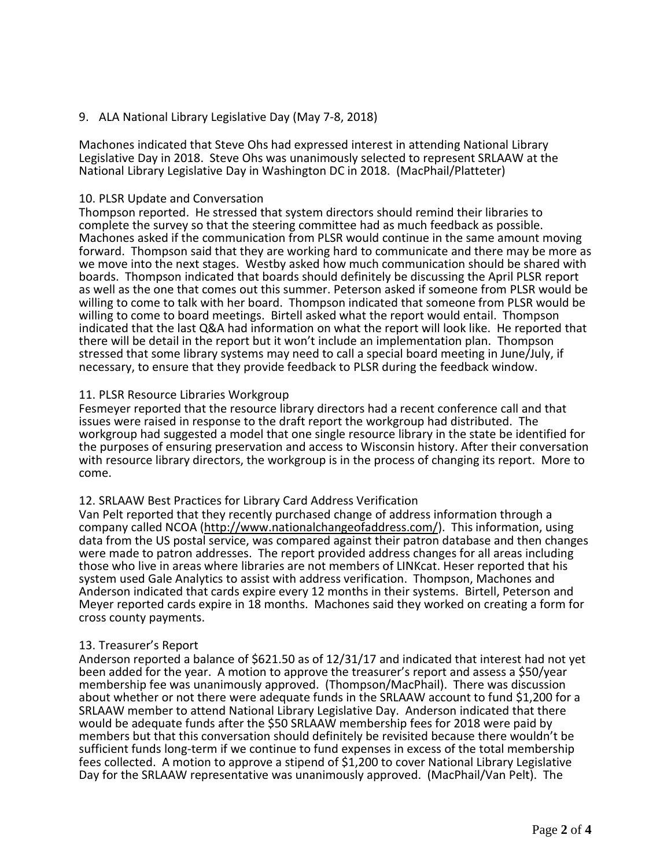## 9. ALA National Library Legislative Day (May 7-8, 2018)

Machones indicated that Steve Ohs had expressed interest in attending National Library Legislative Day in 2018. Steve Ohs was unanimously selected to represent SRLAAW at the National Library Legislative Day in Washington DC in 2018. (MacPhail/Platteter)

### 10. PLSR Update and Conversation

Thompson reported. He stressed that system directors should remind their libraries to complete the survey so that the steering committee had as much feedback as possible. Machones asked if the communication from PLSR would continue in the same amount moving forward. Thompson said that they are working hard to communicate and there may be more as we move into the next stages. Westby asked how much communication should be shared with boards. Thompson indicated that boards should definitely be discussing the April PLSR report as well as the one that comes out this summer. Peterson asked if someone from PLSR would be willing to come to talk with her board. Thompson indicated that someone from PLSR would be willing to come to board meetings. Birtell asked what the report would entail. Thompson indicated that the last Q&A had information on what the report will look like. He reported that there will be detail in the report but it won't include an implementation plan. Thompson stressed that some library systems may need to call a special board meeting in June/July, if necessary, to ensure that they provide feedback to PLSR during the feedback window.

### 11. PLSR Resource Libraries Workgroup

Fesmeyer reported that the resource library directors had a recent conference call and that issues were raised in response to the draft report the workgroup had distributed. The workgroup had suggested a model that one single resource library in the state be identified for the purposes of ensuring preservation and access to Wisconsin history. After their conversation with resource library directors, the workgroup is in the process of changing its report. More to come.

### 12. SRLAAW Best Practices for Library Card Address Verification

Van Pelt reported that they recently purchased change of address information through a company called NCOA [\(http://www.nationalchangeofaddress.com/\)](http://www.nationalchangeofaddress.com/). This information, using data from the US postal service, was compared against their patron database and then changes were made to patron addresses. The report provided address changes for all areas including those who live in areas where libraries are not members of LINKcat. Heser reported that his system used Gale Analytics to assist with address verification. Thompson, Machones and Anderson indicated that cards expire every 12 months in their systems. Birtell, Peterson and Meyer reported cards expire in 18 months. Machones said they worked on creating a form for cross county payments.

### 13. Treasurer's Report

Anderson reported a balance of \$621.50 as of 12/31/17 and indicated that interest had not yet been added for the year. A motion to approve the treasurer's report and assess a \$50/year membership fee was unanimously approved. (Thompson/MacPhail). There was discussion about whether or not there were adequate funds in the SRLAAW account to fund \$1,200 for a SRLAAW member to attend National Library Legislative Day. Anderson indicated that there would be adequate funds after the \$50 SRLAAW membership fees for 2018 were paid by members but that this conversation should definitely be revisited because there wouldn't be sufficient funds long-term if we continue to fund expenses in excess of the total membership fees collected. A motion to approve a stipend of \$1,200 to cover National Library Legislative Day for the SRLAAW representative was unanimously approved. (MacPhail/Van Pelt). The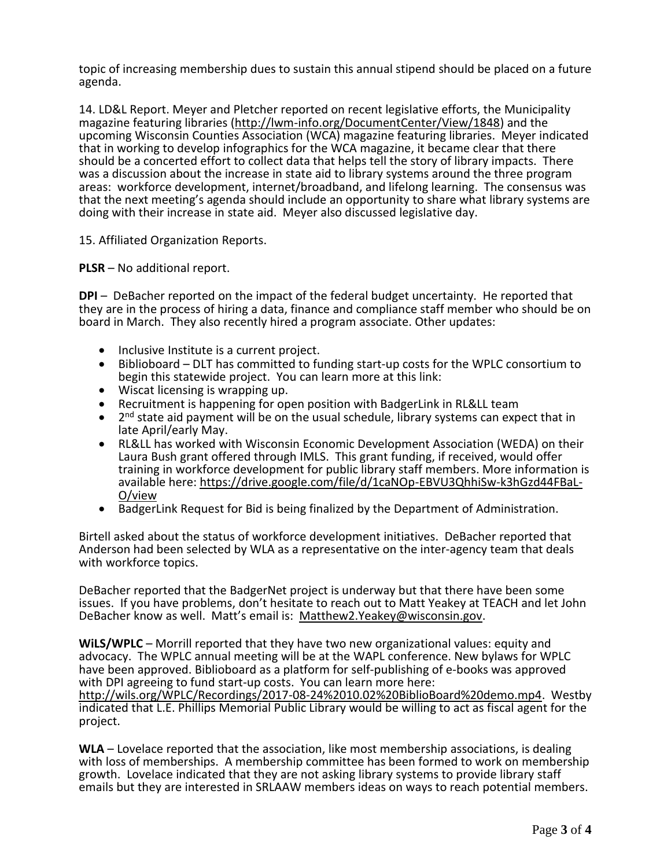topic of increasing membership dues to sustain this annual stipend should be placed on a future agenda.

14. LD&L Report. Meyer and Pletcher reported on recent legislative efforts, the Municipality magazine featuring libraries [\(http://lwm-info.org/DocumentCenter/View/1848\)](http://lwm-info.org/DocumentCenter/View/1848) and the upcoming Wisconsin Counties Association (WCA) magazine featuring libraries. Meyer indicated that in working to develop infographics for the WCA magazine, it became clear that there should be a concerted effort to collect data that helps tell the story of library impacts. There was a discussion about the increase in state aid to library systems around the three program areas: workforce development, internet/broadband, and lifelong learning. The consensus was that the next meeting's agenda should include an opportunity to share what library systems are doing with their increase in state aid. Meyer also discussed legislative day.

15. Affiliated Organization Reports.

**PLSR** – No additional report.

**DPI** – DeBacher reported on the impact of the federal budget uncertainty. He reported that they are in the process of hiring a data, finance and compliance staff member who should be on board in March. They also recently hired a program associate. Other updates:

- Inclusive Institute is a current project.
- Biblioboard DLT has committed to funding start-up costs for the WPLC consortium to begin this statewide project. You can learn more at this link:
- Wiscat licensing is wrapping up.
- Recruitment is happening for open position with BadgerLink in RL&LL team
- 2<sup>nd</sup> state aid payment will be on the usual schedule, library systems can expect that in late April/early May.
- RL&LL has worked with Wisconsin Economic Development Association (WEDA) on their Laura Bush grant offered through IMLS. This grant funding, if received, would offer training in workforce development for public library staff members. More information is available here: [https://drive.google.com/file/d/1caNOp-EBVU3QhhiSw-k3hGzd44FBaL-](https://drive.google.com/file/d/1caNOp-EBVU3QhhiSw-k3hGzd44FBaL-O/view)[O/view](https://drive.google.com/file/d/1caNOp-EBVU3QhhiSw-k3hGzd44FBaL-O/view)
- BadgerLink Request for Bid is being finalized by the Department of Administration.

Birtell asked about the status of workforce development initiatives. DeBacher reported that Anderson had been selected by WLA as a representative on the inter-agency team that deals with workforce topics.

DeBacher reported that the BadgerNet project is underway but that there have been some issues. If you have problems, don't hesitate to reach out to Matt Yeakey at TEACH and let John DeBacher know as well. Matt's email is: [Matthew2.Yeakey@wisconsin.gov.](mailto:Matthew2.Yeakey@wisconsin.gov)

**WiLS/WPLC** – Morrill reported that they have two new organizational values: equity and advocacy. The WPLC annual meeting will be at the WAPL conference. New bylaws for WPLC have been approved. Biblioboard as a platform for self-publishing of e-books was approved with DPI agreeing to fund start-up costs. You can learn more here:

[http://wils.org/WPLC/Recordings/2017-08-24%2010.02%20BiblioBoard%20demo.mp4.](http://wils.org/WPLC/Recordings/2017-08-24%2010.02%20BiblioBoard%20demo.mp4) Westby indicated that L.E. Phillips Memorial Public Library would be willing to act as fiscal agent for the project.

**WLA** – Lovelace reported that the association, like most membership associations, is dealing with loss of memberships. A membership committee has been formed to work on membership growth. Lovelace indicated that they are not asking library systems to provide library staff emails but they are interested in SRLAAW members ideas on ways to reach potential members.